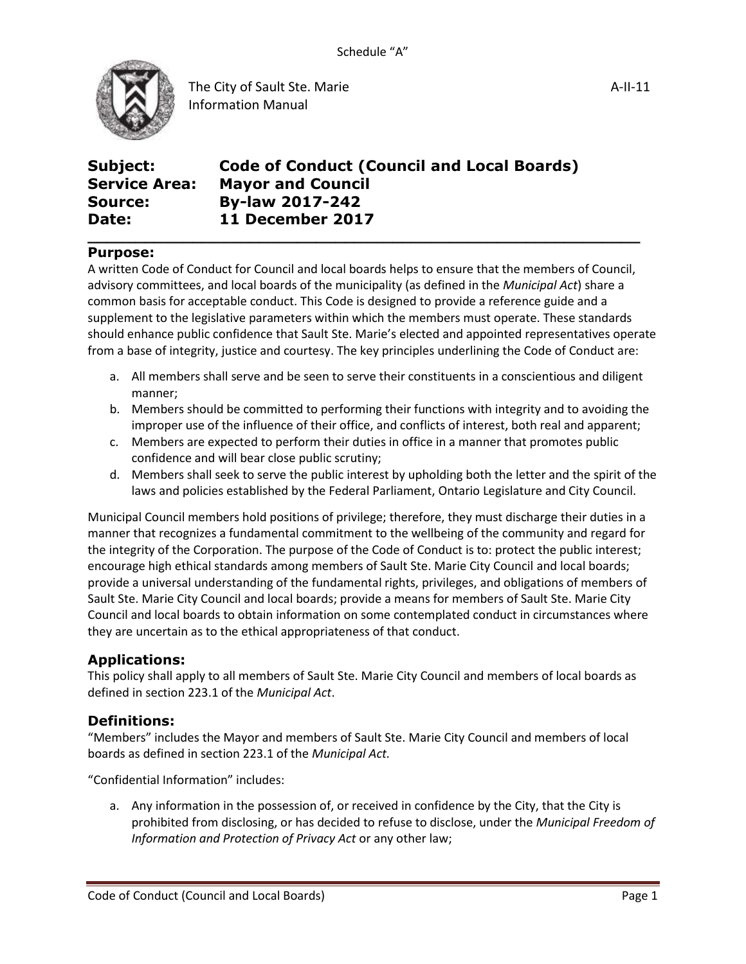

A-II-11

| Subject:             | <b>Code of Conduct (Council and Local Boards)</b> |
|----------------------|---------------------------------------------------|
| <b>Service Area:</b> | <b>Mayor and Council</b>                          |
| <b>Source:</b>       | <b>By-law 2017-242</b>                            |
| Date:                | 11 December 2017                                  |

#### **Purpose:**

A written Code of Conduct for Council and local boards helps to ensure that the members of Council, advisory committees, and local boards of the municipality (as defined in the *Municipal Act*) share a common basis for acceptable conduct. This Code is designed to provide a reference guide and a supplement to the legislative parameters within which the members must operate. These standards should enhance public confidence that Sault Ste. Marie's elected and appointed representatives operate from a base of integrity, justice and courtesy. The key principles underlining the Code of Conduct are:

**\_\_\_\_\_\_\_\_\_\_\_\_\_\_\_\_\_\_\_\_\_\_\_\_\_\_\_\_\_\_\_\_\_\_\_\_\_\_\_\_\_\_\_\_\_\_\_\_\_\_\_\_\_\_\_\_\_\_**

- a. All members shall serve and be seen to serve their constituents in a conscientious and diligent manner;
- b. Members should be committed to performing their functions with integrity and to avoiding the improper use of the influence of their office, and conflicts of interest, both real and apparent;
- c. Members are expected to perform their duties in office in a manner that promotes public confidence and will bear close public scrutiny;
- d. Members shall seek to serve the public interest by upholding both the letter and the spirit of the laws and policies established by the Federal Parliament, Ontario Legislature and City Council.

Municipal Council members hold positions of privilege; therefore, they must discharge their duties in a manner that recognizes a fundamental commitment to the wellbeing of the community and regard for the integrity of the Corporation. The purpose of the Code of Conduct is to: protect the public interest; encourage high ethical standards among members of Sault Ste. Marie City Council and local boards; provide a universal understanding of the fundamental rights, privileges, and obligations of members of Sault Ste. Marie City Council and local boards; provide a means for members of Sault Ste. Marie City Council and local boards to obtain information on some contemplated conduct in circumstances where they are uncertain as to the ethical appropriateness of that conduct.

#### **Applications:**

This policy shall apply to all members of Sault Ste. Marie City Council and members of local boards as defined in section 223.1 of the *Municipal Act*.

#### **Definitions:**

"Members" includes the Mayor and members of Sault Ste. Marie City Council and members of local boards as defined in section 223.1 of the *Municipal Act.*

"Confidential Information" includes:

a. Any information in the possession of, or received in confidence by the City, that the City is prohibited from disclosing, or has decided to refuse to disclose, under the *Municipal Freedom of Information and Protection of Privacy Act* or any other law;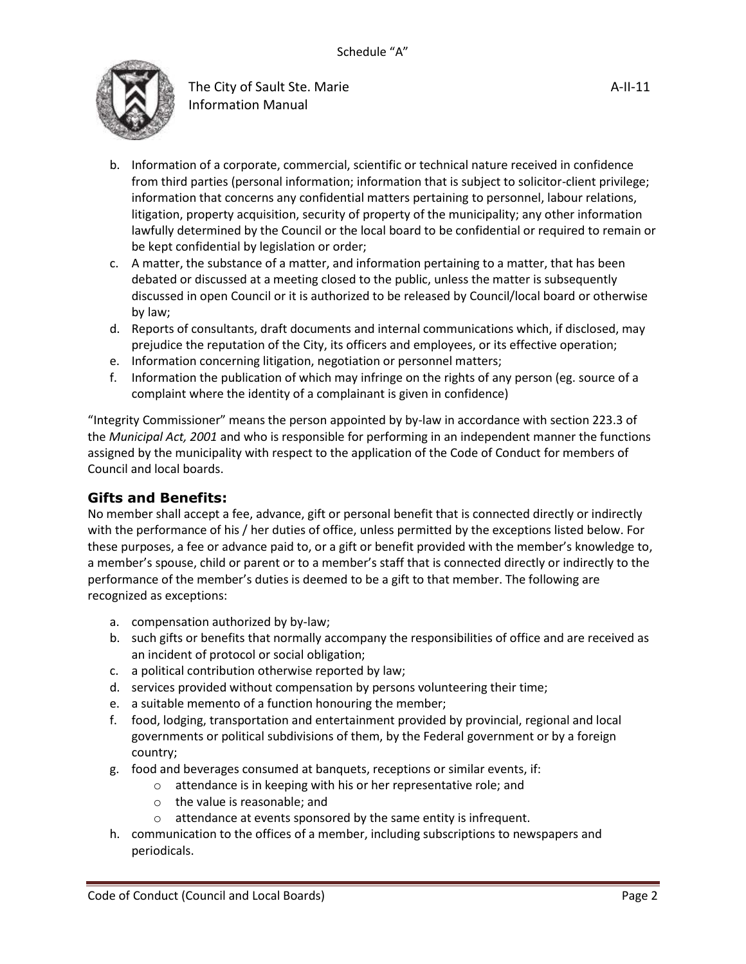

- b. Information of a corporate, commercial, scientific or technical nature received in confidence from third parties (personal information; information that is subject to solicitor-client privilege; information that concerns any confidential matters pertaining to personnel, labour relations, litigation, property acquisition, security of property of the municipality; any other information lawfully determined by the Council or the local board to be confidential or required to remain or be kept confidential by legislation or order;
- c. A matter, the substance of a matter, and information pertaining to a matter, that has been debated or discussed at a meeting closed to the public, unless the matter is subsequently discussed in open Council or it is authorized to be released by Council/local board or otherwise by law;
- d. Reports of consultants, draft documents and internal communications which, if disclosed, may prejudice the reputation of the City, its officers and employees, or its effective operation;
- e. Information concerning litigation, negotiation or personnel matters;
- f. Information the publication of which may infringe on the rights of any person (eg. source of a complaint where the identity of a complainant is given in confidence)

"Integrity Commissioner" means the person appointed by by-law in accordance with section 223.3 of the *Municipal Act, 2001* and who is responsible for performing in an independent manner the functions assigned by the municipality with respect to the application of the Code of Conduct for members of Council and local boards.

#### **Gifts and Benefits:**

No member shall accept a fee, advance, gift or personal benefit that is connected directly or indirectly with the performance of his / her duties of office, unless permitted by the exceptions listed below. For these purposes, a fee or advance paid to, or a gift or benefit provided with the member's knowledge to, a member's spouse, child or parent or to a member's staff that is connected directly or indirectly to the performance of the member's duties is deemed to be a gift to that member. The following are recognized as exceptions:

- a. compensation authorized by by-law;
- b. such gifts or benefits that normally accompany the responsibilities of office and are received as an incident of protocol or social obligation;
- c. a political contribution otherwise reported by law;
- d. services provided without compensation by persons volunteering their time;
- e. a suitable memento of a function honouring the member;
- f. food, lodging, transportation and entertainment provided by provincial, regional and local governments or political subdivisions of them, by the Federal government or by a foreign country;
- g. food and beverages consumed at banquets, receptions or similar events, if:
	- o attendance is in keeping with his or her representative role; and
	- o the value is reasonable; and
	- o attendance at events sponsored by the same entity is infrequent.
- h. communication to the offices of a member, including subscriptions to newspapers and periodicals.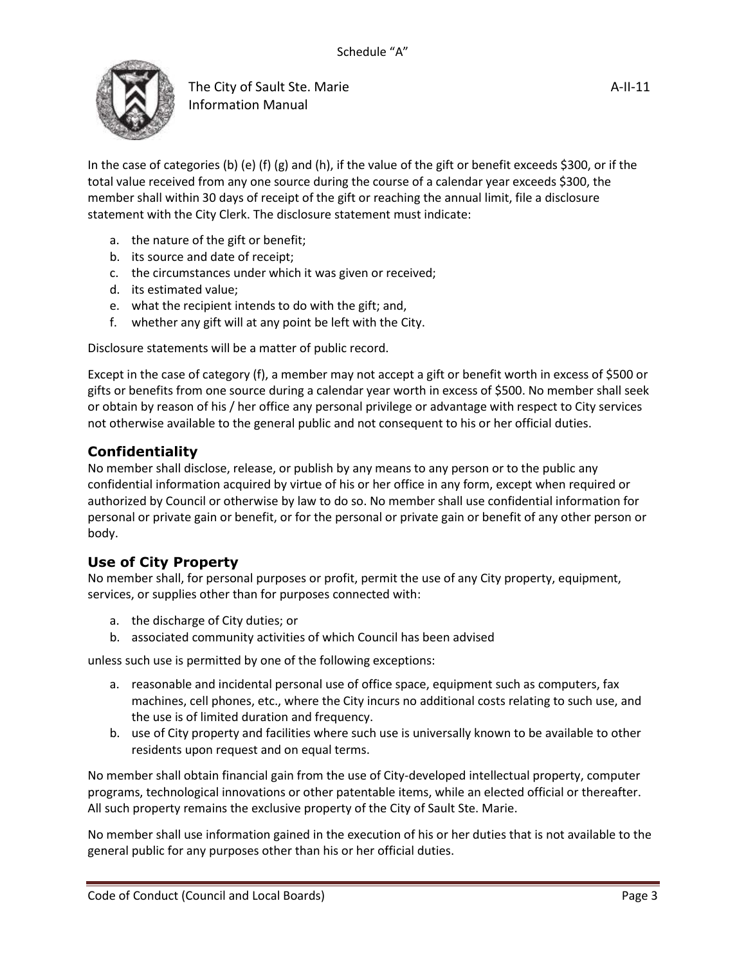

In the case of categories (b) (e) (f) (g) and (h), if the value of the gift or benefit exceeds \$300, or if the total value received from any one source during the course of a calendar year exceeds \$300, the member shall within 30 days of receipt of the gift or reaching the annual limit, file a disclosure statement with the City Clerk. The disclosure statement must indicate:

- a. the nature of the gift or benefit;
- b. its source and date of receipt;
- c. the circumstances under which it was given or received;
- d. its estimated value;
- e. what the recipient intends to do with the gift; and,
- f. whether any gift will at any point be left with the City.

Disclosure statements will be a matter of public record.

Except in the case of category (f), a member may not accept a gift or benefit worth in excess of \$500 or gifts or benefits from one source during a calendar year worth in excess of \$500. No member shall seek or obtain by reason of his / her office any personal privilege or advantage with respect to City services not otherwise available to the general public and not consequent to his or her official duties.

# **Confidentiality**

No member shall disclose, release, or publish by any means to any person or to the public any confidential information acquired by virtue of his or her office in any form, except when required or authorized by Council or otherwise by law to do so. No member shall use confidential information for personal or private gain or benefit, or for the personal or private gain or benefit of any other person or body.

### **Use of City Property**

No member shall, for personal purposes or profit, permit the use of any City property, equipment, services, or supplies other than for purposes connected with:

- a. the discharge of City duties; or
- b. associated community activities of which Council has been advised

unless such use is permitted by one of the following exceptions:

- a. reasonable and incidental personal use of office space, equipment such as computers, fax machines, cell phones, etc., where the City incurs no additional costs relating to such use, and the use is of limited duration and frequency.
- b. use of City property and facilities where such use is universally known to be available to other residents upon request and on equal terms.

No member shall obtain financial gain from the use of City-developed intellectual property, computer programs, technological innovations or other patentable items, while an elected official or thereafter. All such property remains the exclusive property of the City of Sault Ste. Marie.

No member shall use information gained in the execution of his or her duties that is not available to the general public for any purposes other than his or her official duties.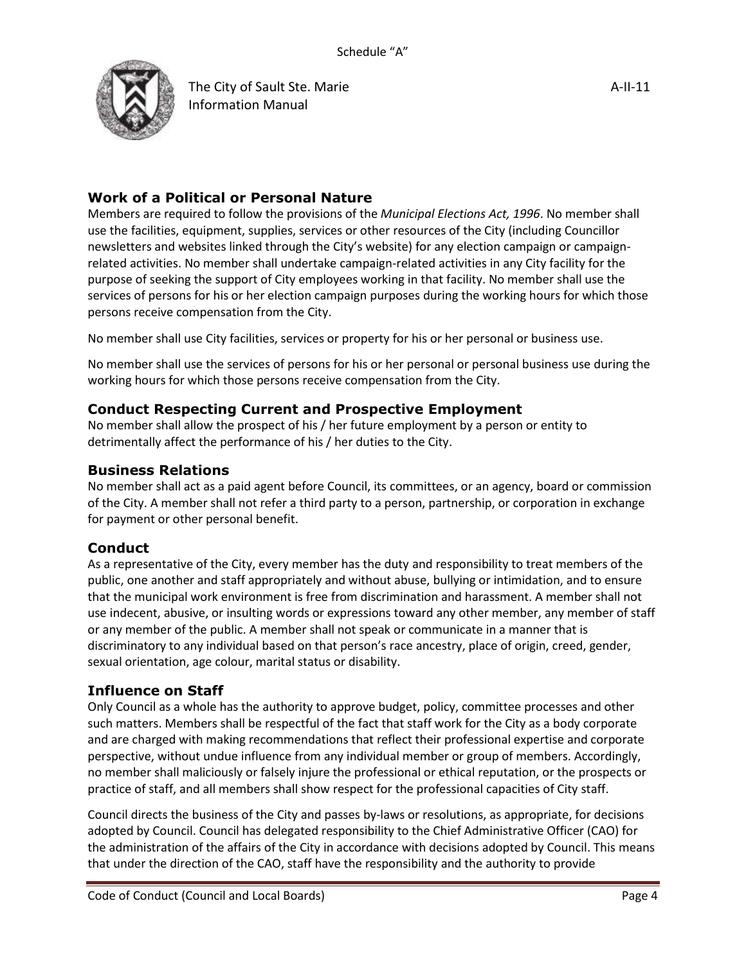

# **Work of a Political or Personal Nature**

Members are required to follow the provisions of the *Municipal Elections Act, 1996*. No member shall use the facilities, equipment, supplies, services or other resources of the City (including Councillor newsletters and websites linked through the City's website) for any election campaign or campaignrelated activities. No member shall undertake campaign-related activities in any City facility for the purpose of seeking the support of City employees working in that facility. No member shall use the services of persons for his or her election campaign purposes during the working hours for which those persons receive compensation from the City.

No member shall use City facilities, services or property for his or her personal or business use.

No member shall use the services of persons for his or her personal or personal business use during the working hours for which those persons receive compensation from the City.

### **Conduct Respecting Current and Prospective Employment**

No member shall allow the prospect of his / her future employment by a person or entity to detrimentally affect the performance of his / her duties to the City.

#### **Business Relations**

No member shall act as a paid agent before Council, its committees, or an agency, board or commission of the City. A member shall not refer a third party to a person, partnership, or corporation in exchange for payment or other personal benefit.

#### **Conduct**

As a representative of the City, every member has the duty and responsibility to treat members of the public, one another and staff appropriately and without abuse, bullying or intimidation, and to ensure that the municipal work environment is free from discrimination and harassment. A member shall not use indecent, abusive, or insulting words or expressions toward any other member, any member of staff or any member of the public. A member shall not speak or communicate in a manner that is discriminatory to any individual based on that person's race ancestry, place of origin, creed, gender, sexual orientation, age colour, marital status or disability.

#### **Influence on Staff**

Only Council as a whole has the authority to approve budget, policy, committee processes and other such matters. Members shall be respectful of the fact that staff work for the City as a body corporate and are charged with making recommendations that reflect their professional expertise and corporate perspective, without undue influence from any individual member or group of members. Accordingly, no member shall maliciously or falsely injure the professional or ethical reputation, or the prospects or practice of staff, and all members shall show respect for the professional capacities of City staff.

Council directs the business of the City and passes by-laws or resolutions, as appropriate, for decisions adopted by Council. Council has delegated responsibility to the Chief Administrative Officer (CAO) for the administration of the affairs of the City in accordance with decisions adopted by Council. This means that under the direction of the CAO, staff have the responsibility and the authority to provide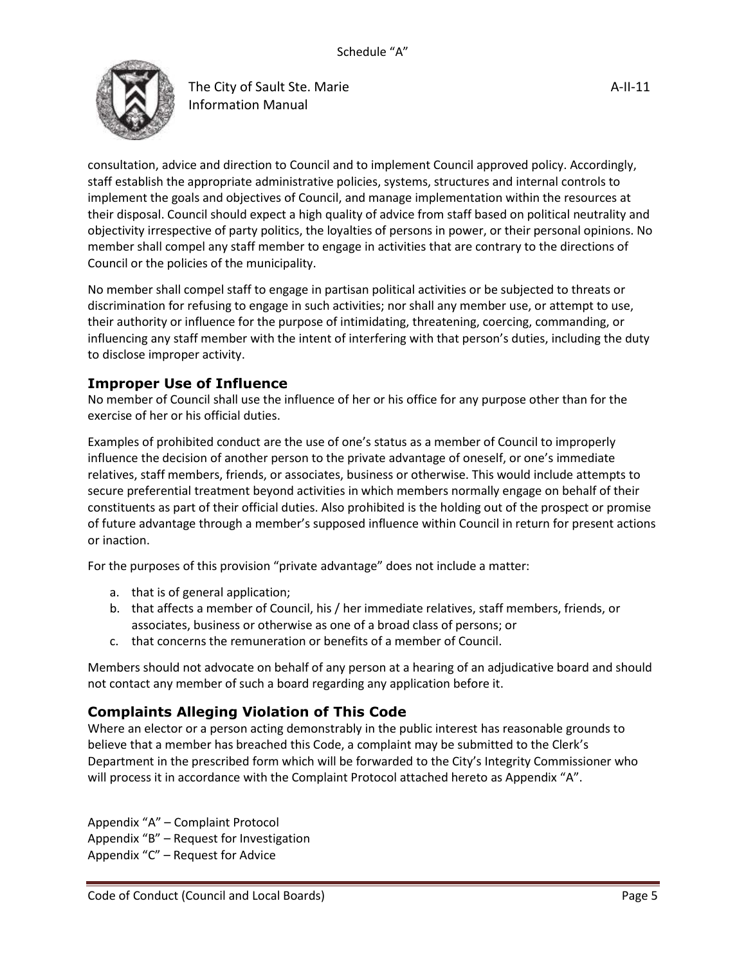

consultation, advice and direction to Council and to implement Council approved policy. Accordingly, staff establish the appropriate administrative policies, systems, structures and internal controls to implement the goals and objectives of Council, and manage implementation within the resources at their disposal. Council should expect a high quality of advice from staff based on political neutrality and objectivity irrespective of party politics, the loyalties of persons in power, or their personal opinions. No member shall compel any staff member to engage in activities that are contrary to the directions of Council or the policies of the municipality.

No member shall compel staff to engage in partisan political activities or be subjected to threats or discrimination for refusing to engage in such activities; nor shall any member use, or attempt to use, their authority or influence for the purpose of intimidating, threatening, coercing, commanding, or influencing any staff member with the intent of interfering with that person's duties, including the duty to disclose improper activity.

### **Improper Use of Influence**

No member of Council shall use the influence of her or his office for any purpose other than for the exercise of her or his official duties.

Examples of prohibited conduct are the use of one's status as a member of Council to improperly influence the decision of another person to the private advantage of oneself, or one's immediate relatives, staff members, friends, or associates, business or otherwise. This would include attempts to secure preferential treatment beyond activities in which members normally engage on behalf of their constituents as part of their official duties. Also prohibited is the holding out of the prospect or promise of future advantage through a member's supposed influence within Council in return for present actions or inaction.

For the purposes of this provision "private advantage" does not include a matter:

- a. that is of general application;
- b. that affects a member of Council, his / her immediate relatives, staff members, friends, or associates, business or otherwise as one of a broad class of persons; or
- c. that concerns the remuneration or benefits of a member of Council.

Members should not advocate on behalf of any person at a hearing of an adjudicative board and should not contact any member of such a board regarding any application before it.

# **Complaints Alleging Violation of This Code**

Where an elector or a person acting demonstrably in the public interest has reasonable grounds to believe that a member has breached this Code, a complaint may be submitted to the Clerk's Department in the prescribed form which will be forwarded to the City's Integrity Commissioner who will process it in accordance with the Complaint Protocol attached hereto as Appendix "A".

Appendix "A" – Complaint Protocol Appendix "B" – Request for Investigation Appendix "C" – Request for Advice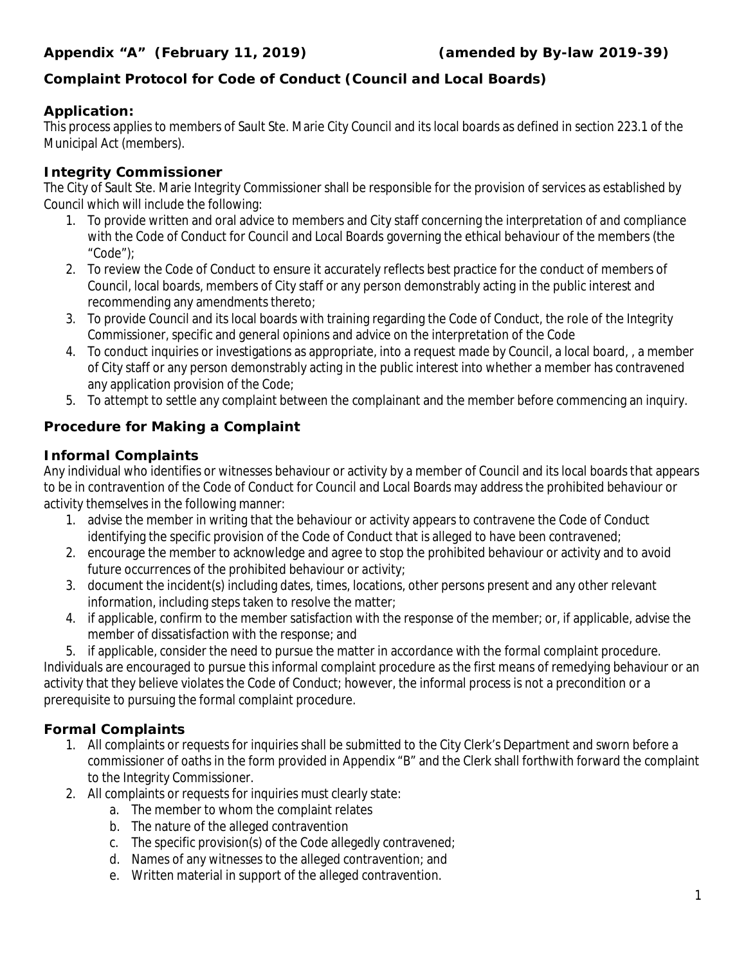# **Complaint Protocol for Code of Conduct (Council and Local Boards)**

# **Application:**

This process applies to members of Sault Ste. Marie City Council and its local boards as defined in section 223.1 of the *Municipal Act* (members).

# **Integrity Commissioner**

The City of Sault Ste. Marie Integrity Commissioner shall be responsible for the provision of services as established by Council which will include the following:

- 1. To provide written and oral advice to members and City staff concerning the interpretation of and compliance with the Code of Conduct for Council and Local Boards governing the ethical behaviour of the members (the "Code");
- 2. To review the Code of Conduct to ensure it accurately reflects best practice for the conduct of members of Council, local boards, members of City staff or any person demonstrably acting in the public interest and recommending any amendments thereto;
- 3. To provide Council and its local boards with training regarding the Code of Conduct, the role of the Integrity Commissioner, specific and general opinions and advice on the interpretation of the Code
- 4. To conduct inquiries or investigations as appropriate, into a request made by Council, a local board, , a member of City staff or any person demonstrably acting in the public interest into whether a member has contravened any application provision of the Code;
- 5. To attempt to settle any complaint between the complainant and the member before commencing an inquiry.

# **Procedure for Making a Complaint**

# **Informal Complaints**

Any individual who identifies or witnesses behaviour or activity by a member of Council and its local boards that appears to be in contravention of the Code of Conduct for Council and Local Boards may address the prohibited behaviour or activity themselves in the following manner:

- 1. advise the member in writing that the behaviour or activity appears to contravene the Code of Conduct identifying the specific provision of the Code of Conduct that is alleged to have been contravened;
- 2. encourage the member to acknowledge and agree to stop the prohibited behaviour or activity and to avoid future occurrences of the prohibited behaviour or activity;
- 3. document the incident(s) including dates, times, locations, other persons present and any other relevant information, including steps taken to resolve the matter;
- 4. if applicable, confirm to the member satisfaction with the response of the member; or, if applicable, advise the member of dissatisfaction with the response; and
- 5. if applicable, consider the need to pursue the matter in accordance with the formal complaint procedure.

Individuals are encouraged to pursue this informal complaint procedure as the first means of remedying behaviour or an activity that they believe violates the Code of Conduct; however, the informal process is not a precondition or a prerequisite to pursuing the formal complaint procedure.

# **Formal Complaints**

- 1. All complaints or requests for inquiries shall be submitted to the City Clerk's Department and sworn before a commissioner of oaths in the form provided in Appendix "B" and the Clerk shall forthwith forward the complaint to the Integrity Commissioner.
- 2. All complaints or requests for inquiries must clearly state:
	- a. The member to whom the complaint relates
	- b. The nature of the alleged contravention
	- c. The specific provision(s) of the Code allegedly contravened;
	- d. Names of any witnesses to the alleged contravention; and
	- e. Written material in support of the alleged contravention.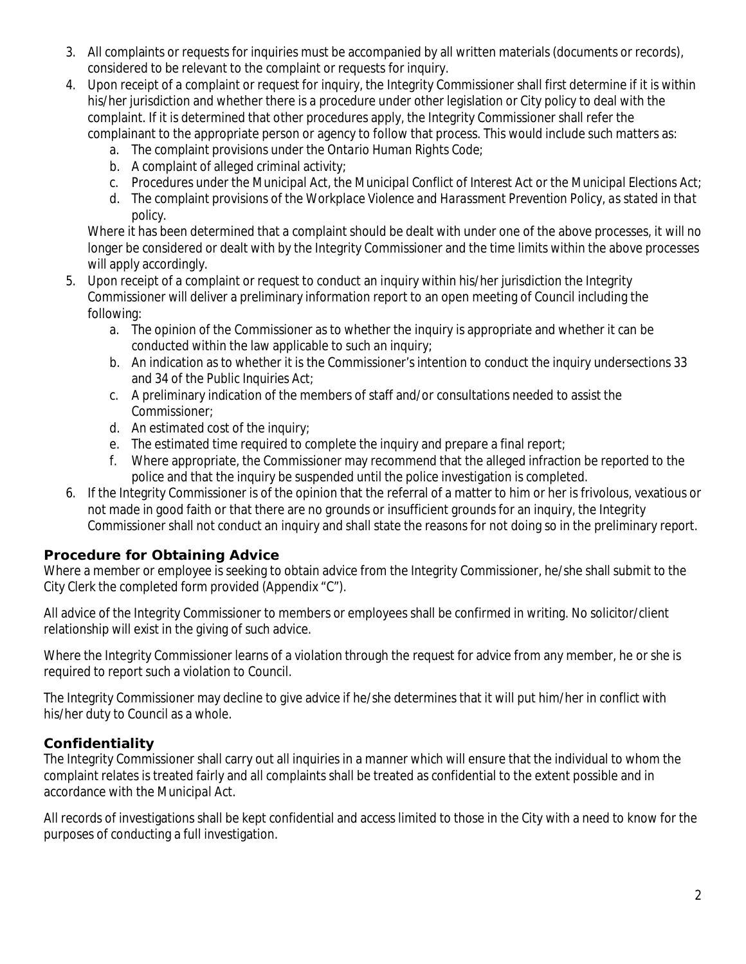- 3. All complaints or requests for inquiries must be accompanied by all written materials (documents or records), considered to be relevant to the complaint or requests for inquiry.
- 4. Upon receipt of a complaint or request for inquiry, the Integrity Commissioner shall first determine if it is within his/her jurisdiction and whether there is a procedure under other legislation or City policy to deal with the complaint. If it is determined that other procedures apply, the Integrity Commissioner shall refer the complainant to the appropriate person or agency to follow that process. This would include such matters as:
	- a. The complaint provisions under the *Ontario Human Rights Code*;
	- b. A complaint of alleged criminal activity;
	- c. Procedures under the *Municipal Act*, the *Municipal Conflict of Interest Act* or the *Municipal Elections Act*;
	- d. The complaint provisions of the *Workplace Violence and Harassment Prevention Policy, as stated in that policy.*

Where it has been determined that a complaint should be dealt with under one of the above processes, it will no longer be considered or dealt with by the Integrity Commissioner and the time limits within the above processes will apply accordingly.

- 5. Upon receipt of a complaint or request to conduct an inquiry within his/her jurisdiction the Integrity Commissioner will deliver a preliminary information report to an open meeting of Council including the following:
	- a. The opinion of the Commissioner as to whether the inquiry is appropriate and whether it can be conducted within the law applicable to such an inquiry;
	- b. An indication as to whether it is the Commissioner's intention to conduct the inquiry undersections 33 and 34 of the *Public Inquiries Act*;
	- c. A preliminary indication of the members of staff and/or consultations needed to assist the Commissioner;
	- d. An estimated cost of the inquiry;
	- e. The estimated time required to complete the inquiry and prepare a final report;
	- f. Where appropriate, the Commissioner may recommend that the alleged infraction be reported to the police and that the inquiry be suspended until the police investigation is completed.
- 6. If the Integrity Commissioner is of the opinion that the referral of a matter to him or her is frivolous, vexatious or not made in good faith or that there are no grounds or insufficient grounds for an inquiry, the Integrity Commissioner shall not conduct an inquiry and shall state the reasons for not doing so in the preliminary report.

### **Procedure for Obtaining Advice**

Where a member or employee is seeking to obtain advice from the Integrity Commissioner, he/she shall submit to the City Clerk the completed form provided (Appendix "C").

All advice of the Integrity Commissioner to members or employees shall be confirmed in writing. No solicitor/client relationship will exist in the giving of such advice.

Where the Integrity Commissioner learns of a violation through the request for advice from any member, he or she is required to report such a violation to Council.

The Integrity Commissioner may decline to give advice if he/she determines that it will put him/her in conflict with his/her duty to Council as a whole.

#### **Confidentiality**

The Integrity Commissioner shall carry out all inquiries in a manner which will ensure that the individual to whom the complaint relates is treated fairly and all complaints shall be treated as confidential to the extent possible and in accordance with the *Municipal Act*.

All records of investigations shall be kept confidential and access limited to those in the City with a need to know for the purposes of conducting a full investigation.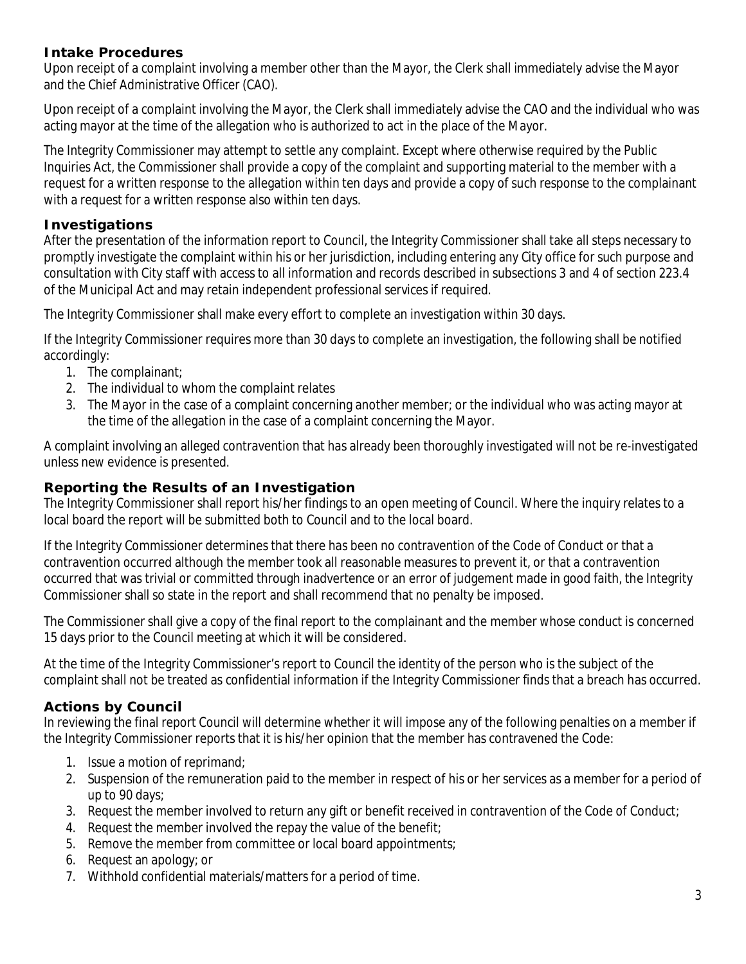### **Intake Procedures**

Upon receipt of a complaint involving a member other than the Mayor, the Clerk shall immediately advise the Mayor and the Chief Administrative Officer (CAO).

Upon receipt of a complaint involving the Mayor, the Clerk shall immediately advise the CAO and the individual who was acting mayor at the time of the allegation who is authorized to act in the place of the Mayor.

The Integrity Commissioner may attempt to settle any complaint. Except where otherwise required by the *Public Inquiries Act*, the Commissioner shall provide a copy of the complaint and supporting material to the member with a request for a written response to the allegation within ten days and provide a copy of such response to the complainant with a request for a written response also within ten days.

### **Investigations**

After the presentation of the information report to Council, the Integrity Commissioner shall take all steps necessary to promptly investigate the complaint within his or her jurisdiction, including entering any City office for such purpose and consultation with City staff with access to all information and records described in subsections 3 and 4 of section 223.4 of the *Municipal Act* and may retain independent professional services if required.

The Integrity Commissioner shall make every effort to complete an investigation within 30 days.

If the Integrity Commissioner requires more than 30 days to complete an investigation, the following shall be notified accordingly:

- 1. The complainant;
- 2. The individual to whom the complaint relates
- 3. The Mayor in the case of a complaint concerning another member; or the individual who was acting mayor at the time of the allegation in the case of a complaint concerning the Mayor.

A complaint involving an alleged contravention that has already been thoroughly investigated will not be re-investigated unless new evidence is presented.

### **Reporting the Results of an Investigation**

The Integrity Commissioner shall report his/her findings to an open meeting of Council. Where the inquiry relates to a local board the report will be submitted both to Council and to the local board.

If the Integrity Commissioner determines that there has been no contravention of the Code of Conduct or that a contravention occurred although the member took all reasonable measures to prevent it, or that a contravention occurred that was trivial or committed through inadvertence or an error of judgement made in good faith, the Integrity Commissioner shall so state in the report and shall recommend that no penalty be imposed.

The Commissioner shall give a copy of the final report to the complainant and the member whose conduct is concerned 15 days prior to the Council meeting at which it will be considered.

At the time of the Integrity Commissioner's report to Council the identity of the person who is the subject of the complaint shall not be treated as confidential information if the Integrity Commissioner finds that a breach has occurred.

#### **Actions by Council**

In reviewing the final report Council will determine whether it will impose any of the following penalties on a member if the Integrity Commissioner reports that it is his/her opinion that the member has contravened the Code:

- 1. Issue a motion of reprimand;
- 2. Suspension of the remuneration paid to the member in respect of his or her services as a member for a period of up to 90 days;
- 3. Request the member involved to return any gift or benefit received in contravention of the Code of Conduct;
- 4. Request the member involved the repay the value of the benefit;
- 5. Remove the member from committee or local board appointments;
- 6. Request an apology; or
- 7. Withhold confidential materials/matters for a period of time.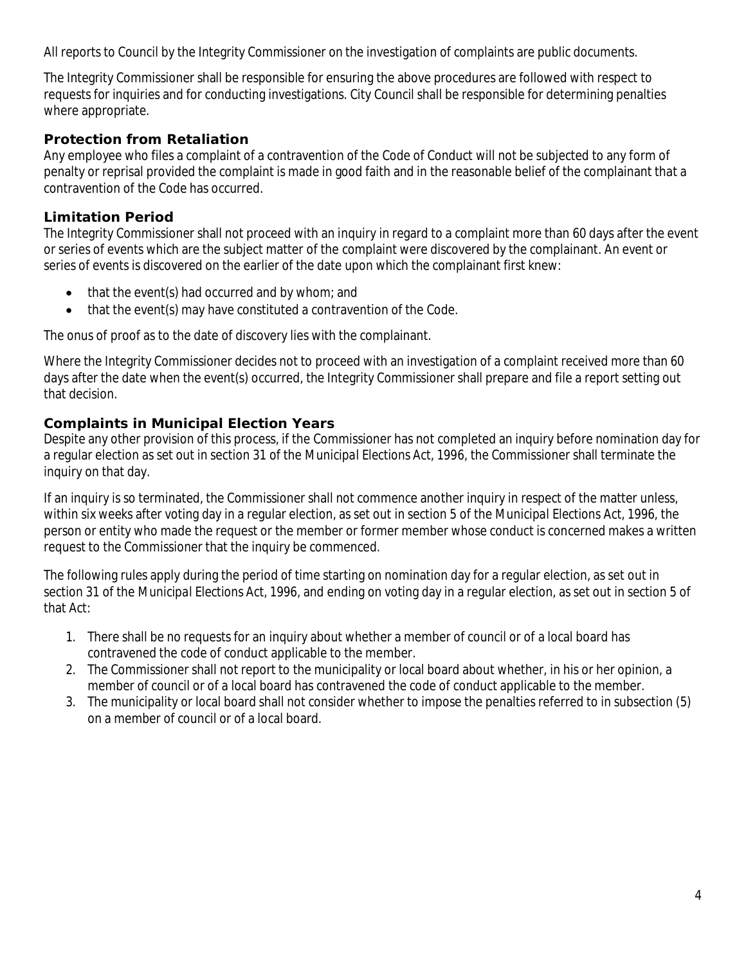All reports to Council by the Integrity Commissioner on the investigation of complaints are public documents.

The Integrity Commissioner shall be responsible for ensuring the above procedures are followed with respect to requests for inquiries and for conducting investigations. City Council shall be responsible for determining penalties where appropriate.

### **Protection from Retaliation**

Any employee who files a complaint of a contravention of the Code of Conduct will not be subjected to any form of penalty or reprisal provided the complaint is made in good faith and in the reasonable belief of the complainant that a contravention of the Code has occurred.

### **Limitation Period**

The Integrity Commissioner shall not proceed with an inquiry in regard to a complaint more than 60 days after the event or series of events which are the subject matter of the complaint were discovered by the complainant. An event or series of events is discovered on the earlier of the date upon which the complainant first knew:

- that the event(s) had occurred and by whom; and
- that the event(s) may have constituted a contravention of the Code.

The onus of proof as to the date of discovery lies with the complainant.

Where the Integrity Commissioner decides not to proceed with an investigation of a complaint received more than 60 days after the date when the event(s) occurred, the Integrity Commissioner shall prepare and file a report setting out that decision.

### **Complaints in Municipal Election Years**

Despite any other provision of this process, if the Commissioner has not completed an inquiry before nomination day for a regular election as set out in section 31 of the *Municipal Elections Act, 1996,* the Commissioner shall terminate the inquiry on that day.

If an inquiry is so terminated, the Commissioner shall not commence another inquiry in respect of the matter unless, within six weeks after voting day in a regular election, as set out in section 5 of the *Municipal Elections Act, 1996,* the person or entity who made the request or the member or former member whose conduct is concerned makes a written request to the Commissioner that the inquiry be commenced.

The following rules apply during the period of time starting on nomination day for a regular election, as set out in section 31 of the *Municipal Elections Act, 1996,* and ending on voting day in a regular election, as set out in section 5 of that Act:

- 1. There shall be no requests for an inquiry about whether a member of council or of a local board has contravened the code of conduct applicable to the member.
- 2. The Commissioner shall not report to the municipality or local board about whether, in his or her opinion, a member of council or of a local board has contravened the code of conduct applicable to the member.
- 3. The municipality or local board shall not consider whether to impose the penalties referred to in subsection (5) on a member of council or of a local board.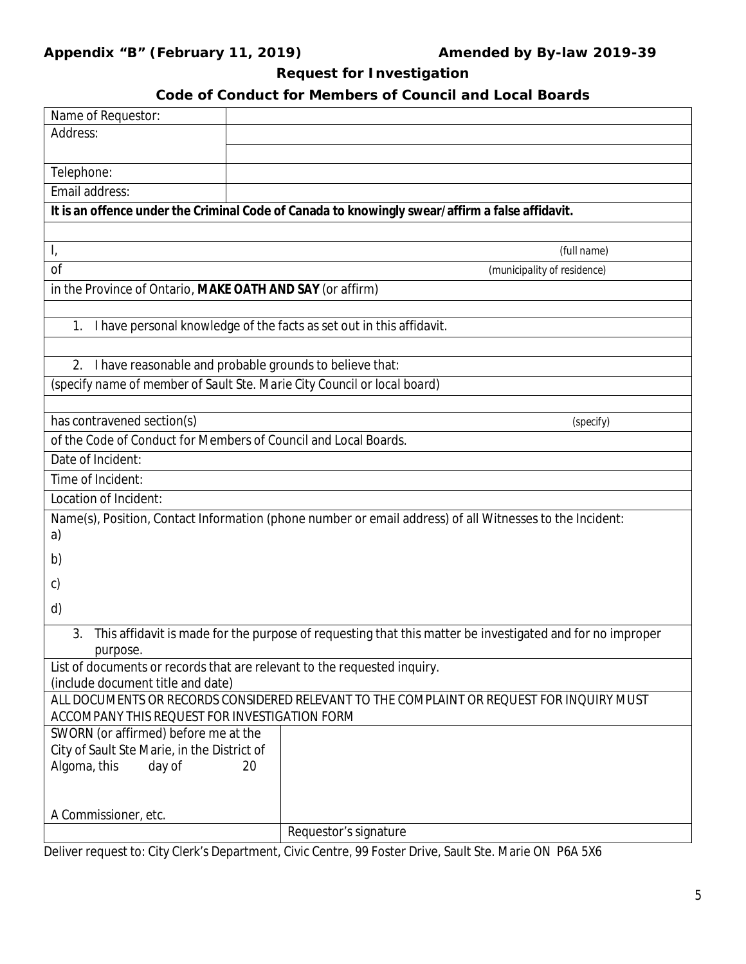# **Appendix "B" (February 11, 2019) Amended by By-law 2019-39**

# **Request for Investigation**

# **Code of Conduct for Members of Council and Local Boards**

| Name of Requestor:                                                                    |                                                                                                           |
|---------------------------------------------------------------------------------------|-----------------------------------------------------------------------------------------------------------|
| Address:                                                                              |                                                                                                           |
|                                                                                       |                                                                                                           |
| Telephone:                                                                            |                                                                                                           |
| Email address:                                                                        |                                                                                                           |
|                                                                                       | It is an offence under the Criminal Code of Canada to knowingly swear/affirm a false affidavit.           |
|                                                                                       |                                                                                                           |
| $\mathsf{I}_i$                                                                        | (full name)                                                                                               |
| <sub>of</sub>                                                                         | (municipality of residence)                                                                               |
| in the Province of Ontario, MAKE OATH AND SAY (or affirm)                             |                                                                                                           |
|                                                                                       |                                                                                                           |
| 1.                                                                                    | I have personal knowledge of the facts as set out in this affidavit.                                      |
|                                                                                       |                                                                                                           |
| I have reasonable and probable grounds to believe that:<br>2.                         |                                                                                                           |
| (specify name of member of Sault Ste. Marie City Council or local board)              |                                                                                                           |
|                                                                                       |                                                                                                           |
| has contravened section(s)                                                            | (specify)                                                                                                 |
| of the Code of Conduct for Members of Council and Local Boards.                       |                                                                                                           |
| Date of Incident:                                                                     |                                                                                                           |
| Time of Incident:                                                                     |                                                                                                           |
| Location of Incident:                                                                 |                                                                                                           |
|                                                                                       | Name(s), Position, Contact Information (phone number or email address) of all Witnesses to the Incident:  |
| a)                                                                                    |                                                                                                           |
| b)                                                                                    |                                                                                                           |
|                                                                                       |                                                                                                           |
| $\mathsf{C}$                                                                          |                                                                                                           |
| d)                                                                                    |                                                                                                           |
| 3.                                                                                    | This affidavit is made for the purpose of requesting that this matter be investigated and for no improper |
| purpose.                                                                              |                                                                                                           |
| List of documents or records that are relevant to the requested inquiry.              |                                                                                                           |
| (include document title and date)                                                     |                                                                                                           |
|                                                                                       | ALL DOCUMENTS OR RECORDS CONSIDERED RELEVANT TO THE COMPLAINT OR REQUEST FOR INQUIRY MUST                 |
| ACCOMPANY THIS REQUEST FOR INVESTIGATION FORM<br>SWORN (or affirmed) before me at the |                                                                                                           |
| City of Sault Ste Marie, in the District of                                           |                                                                                                           |
| Algoma, this<br>day of<br>20                                                          |                                                                                                           |
|                                                                                       |                                                                                                           |
|                                                                                       |                                                                                                           |
| A Commissioner, etc.                                                                  |                                                                                                           |
|                                                                                       | Requestor's signature                                                                                     |

Deliver request to: City Clerk's Department, Civic Centre, 99 Foster Drive, Sault Ste. Marie ON P6A 5X6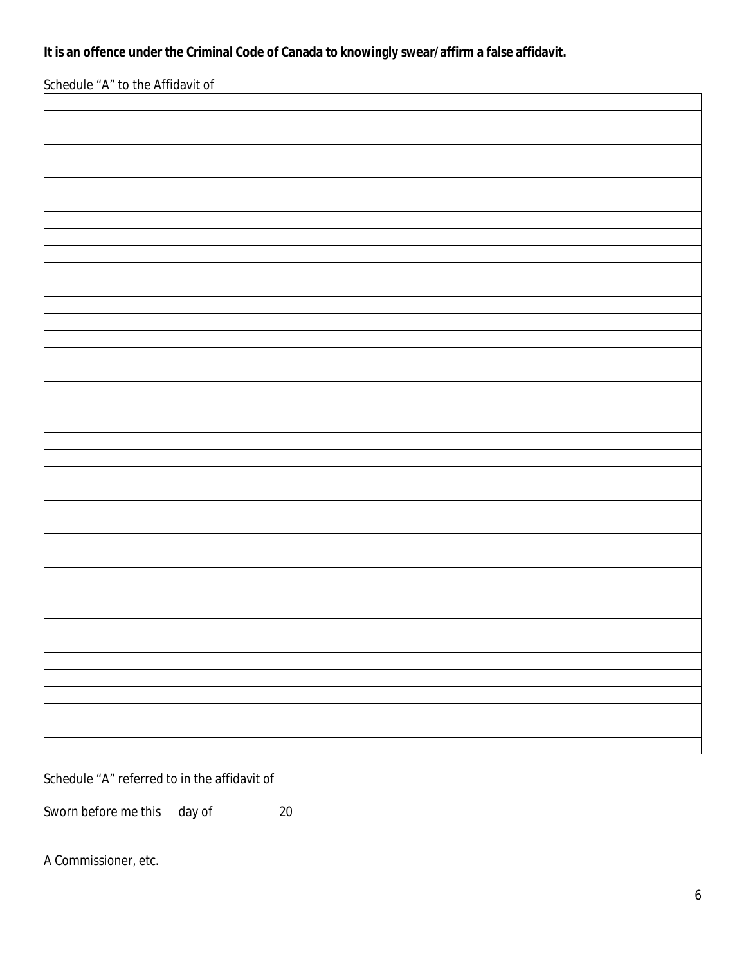**It is an offence under the Criminal Code of Canada to knowingly swear/affirm a false affidavit.**

Schedule "A" to the Affidavit of

Schedule "A" referred to in the affidavit of

Sworn before me this day of 20

A Commissioner, etc.

٦